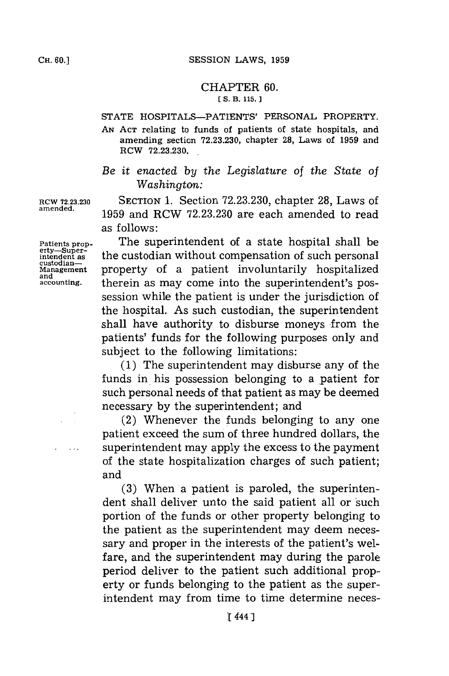## CHAPTER **60. [ S. B. 115.]1**

## **STATE** HOSPITALS-PATIENTS' **PERSONAL** PROPERTY.

**AN ACT** relating to funds of patients of state hospitals, and amending section **72.23.230,** chapter **28,** Laws of **1959** and RCW **72.23.230.**

*Be it enacted by the Legislature of the State of Washington:*

**RCW 72.23.230** SECTION **1.** Section **72.23.230,** chapter **28,** Laws of **amended. 1959** and RCW **72.23.230** are each amended to read as **follows**:

**Patients prop-** The superintendent of a state hospital shall be erty—super-<br>intendent as the custodian without compensation of such personal<br>custodian—<br>Management property of a patient involuntarily hospitalized **Management** property of a patient involuntarily hospitalized **and** therein as may come into the superintendent's possession while the patient is under the jurisdiction of the hospital. As such custodian, the superintendent shall have authority to disburse moneys from the patients' funds for the following purposes only and subject to the following limitations:

> **(1)** The superintendent may disburse any of the funds in his possession belonging to a patient for such personal needs of that patient as may be deemed necessary **by** the superintendent; and

> (2) Whenever the funds belonging to any one patient exceed the sum of three hundred dollars, the superintendent may apply the excess to the payment of the state hospitalization charges of such patient; and

> **(3)** When a patient is paroled, the superintendent shall deliver unto the said patient all or such portion of the funds or other property belonging to the patient as the superintendent may deem necessary and proper in the interests of the patient's welfare, and the superintendent may during the parole period deliver to the patient such additional property or funds belonging to the patient as the superintendent may from time to time determine neces-

**erty-Super-**